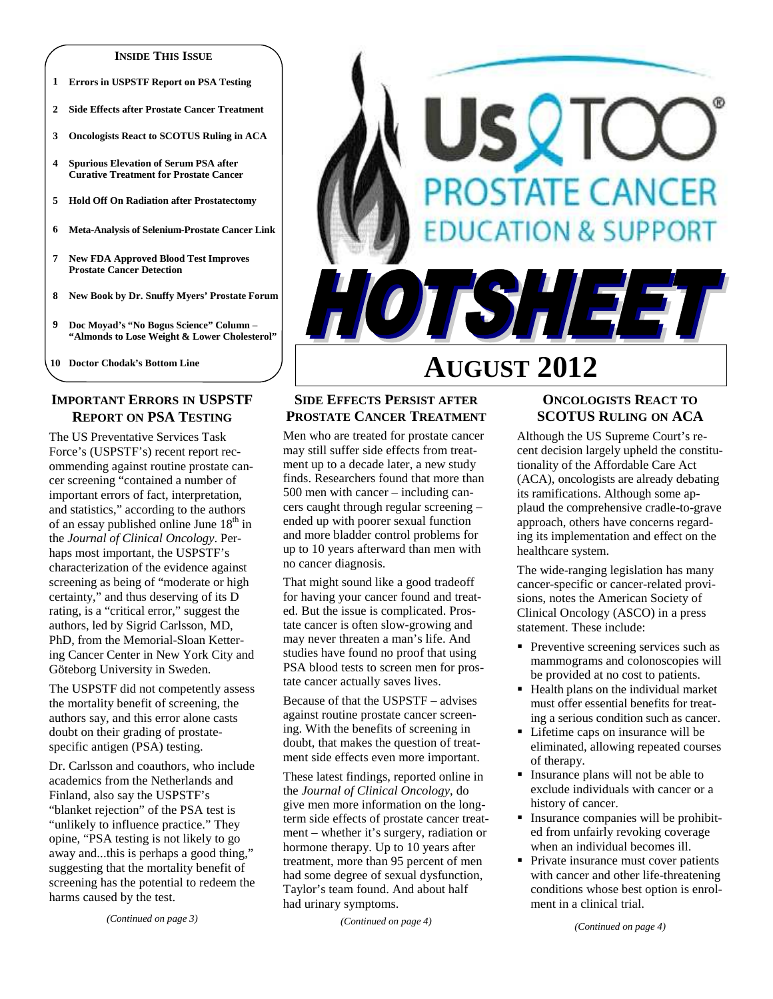#### **INSIDE THIS ISSUE**

- **1 Errors in USPSTF Report on PSA Testing**
- **2 Side Effects after Prostate Cancer Treatment**
- **3 Oncologists React to SCOTUS Ruling in ACA**
- **4 Spurious Elevation of Serum PSA after Curative Treatment for Prostate Cancer**
- **5 Hold Off On Radiation after Prostatectomy**
- **6 Meta-Analysis of Selenium-Prostate Cancer Link**
- **7 New FDA Approved Blood Test Improves Prostate Cancer Detection**
- **8 New Book by Dr. Snuffy Myers' Prostate Forum**
- **9 Doc Moyad's "No Bogus Science" Column "Almonds to Lose Weight & Lower Cholesterol"**
- **10 Doctor Chodak's Bottom Line**

# **IMPORTANT ERRORS IN USPSTF REPORT ON PSA TESTING**

The US Preventative Services Task Force's (USPSTF's) recent report recommending against routine prostate cancer screening "contained a number of important errors of fact, interpretation, and statistics," according to the authors of an essay published online June  $18<sup>th</sup>$  in the *Journal of Clinical Oncology*. Perhaps most important, the USPSTF's characterization of the evidence against screening as being of "moderate or high certainty," and thus deserving of its D rating, is a "critical error," suggest the authors, led by Sigrid Carlsson, MD, PhD, from the Memorial-Sloan Kettering Cancer Center in New York City and Göteborg University in Sweden.

The USPSTF did not competently assess the mortality benefit of screening, the authors say, and this error alone casts doubt on their grading of prostatespecific antigen (PSA) testing.

Dr. Carlsson and coauthors, who include academics from the Netherlands and Finland, also say the USPSTF's "blanket rejection" of the PSA test is "unlikely to influence practice." They opine, "PSA testing is not likely to go away and...this is perhaps a good thing," suggesting that the mortality benefit of screening has the potential to redeem the harms caused by the test.

*(Continued on page 3)* 

# **AUGUST 2012**

SQT

JTSHEE

# **SIDE EFFECTS PERSIST AFTER PROSTATE CANCER TREATMENT**

Men who are treated for prostate cancer may still suffer side effects from treatment up to a decade later, a new study finds. Researchers found that more than 500 men with cancer – including cancers caught through regular screening – ended up with poorer sexual function and more bladder control problems for up to 10 years afterward than men with no cancer diagnosis.

That might sound like a good tradeoff for having your cancer found and treated. But the issue is complicated. Prostate cancer is often slow-growing and may never threaten a man's life. And studies have found no proof that using PSA blood tests to screen men for prostate cancer actually saves lives.

Because of that the USPSTF – advises against routine prostate cancer screening. With the benefits of screening in doubt, that makes the question of treatment side effects even more important.

These latest findings, reported online in the *Journal of Clinical Oncology*, do give men more information on the longterm side effects of prostate cancer treatment – whether it's surgery, radiation or hormone therapy. Up to 10 years after treatment, more than 95 percent of men had some degree of sexual dysfunction, Taylor's team found. And about half had urinary symptoms.

*(Continued on page 4)* 

## **ONCOLOGISTS REACT TO SCOTUS RULING ON ACA**

**OSTATE CANCER** 

**ATION & SUPPORT** 

Although the US Supreme Court's recent decision largely upheld the constitutionality of the Affordable Care Act (ACA), oncologists are already debating its ramifications. Although some applaud the comprehensive cradle-to-grave approach, others have concerns regarding its implementation and effect on the healthcare system.

The wide-ranging legislation has many cancer-specific or cancer-related provisions, notes the American Society of Clinical Oncology (ASCO) in a press statement. These include:

- Preventive screening services such as mammograms and colonoscopies will be provided at no cost to patients.
- Health plans on the individual market must offer essential benefits for treating a serious condition such as cancer.
- Lifetime caps on insurance will be eliminated, allowing repeated courses of therapy.
- Insurance plans will not be able to exclude individuals with cancer or a history of cancer.
- **Insurance companies will be prohibit**ed from unfairly revoking coverage when an individual becomes ill.
- Private insurance must cover patients with cancer and other life-threatening conditions whose best option is enrolment in a clinical trial.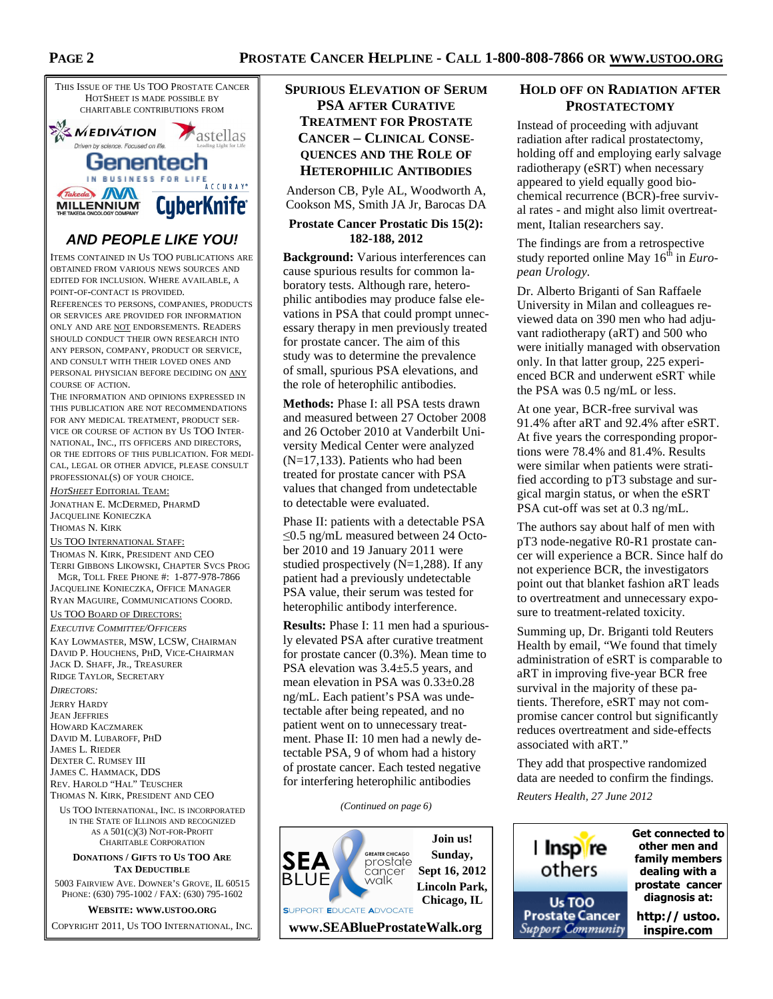# **PROSTATE CANCER HELPLINE - CALL 1-800-808-7866 OR WWW.USTOO.ORG**



# **AND PEOPLE LIKE YOU!**

ITEMS CONTAINED IN US TOO PUBLICATIONS ARE OBTAINED FROM VARIOUS NEWS SOURCES AND EDITED FOR INCLUSION. WHERE AVAILABLE, A POINT-OF-CONTACT IS PROVIDED.

REFERENCES TO PERSONS, COMPANIES, PRODUCTS OR SERVICES ARE PROVIDED FOR INFORMATION ONLY AND ARE NOT ENDORSEMENTS. READERS SHOULD CONDUCT THEIR OWN RESEARCH INTO ANY PERSON, COMPANY, PRODUCT OR SERVICE, AND CONSULT WITH THEIR LOVED ONES AND PERSONAL PHYSICIAN BEFORE DECIDING ON ANY COURSE OF ACTION.

THE INFORMATION AND OPINIONS EXPRESSED IN THIS PUBLICATION ARE NOT RECOMMENDATIONS FOR ANY MEDICAL TREATMENT, PRODUCT SER-VICE OR COURSE OF ACTION BY US TOO INTER-NATIONAL, INC., ITS OFFICERS AND DIRECTORS, OR THE EDITORS OF THIS PUBLICATION. FOR MEDI-CAL, LEGAL OR OTHER ADVICE, PLEASE CONSULT PROFESSIONAL(S) OF YOUR CHOICE.

*HOTSHEET* EDITORIAL TEAM:

JONATHAN E. MCDERMED, PHARMD JACQUELINE KONIECZKA THOMAS N. KIRK

US TOO INTERNATIONAL STAFF:

THOMAS N. KIRK, PRESIDENT AND CEO TERRI GIBBONS LIKOWSKI, CHAPTER SVCS PROG MGR, TOLL FREE PHONE #: 1-877-978-7866 JACQUELINE KONIECZKA, OFFICE MANAGER RYAN MAGUIRE, COMMUNICATIONS COORD.

#### US TOO BOARD OF DIRECTORS:

*EXECUTIVE COMMITTEE/OFFICERS* KAY LOWMASTER, MSW, LCSW, CHAIRMAN DAVID P. HOUCHENS, PHD, VICE-CHAIRMAN JACK D. SHAFF, JR., TREASURER RIDGE TAYLOR, SECRETARY

*DIRECTORS:* 

JERRY HARDY JEAN JEFFRIES HOWARD KACZMAREK DAVID M. LUBAROFF, PHD JAMES L. RIEDER DEXTER C. RUMSEY III JAMES C. HAMMACK, DDS REV. HAROLD "HAL" TEUSCHER THOMAS N. KIRK, PRESIDENT AND CEO

US TOO INTERNATIONAL, INC. IS INCORPORATED IN THE STATE OF ILLINOIS AND RECOGNIZED AS A 501(C)(3) NOT-FOR-PROFIT CHARITABLE CORPORATION

#### **DONATIONS / GIFTS TO US TOO ARE TAX DEDUCTIBLE**

5003 FAIRVIEW AVE. DOWNER'S GROVE, IL 60515 PHONE: (630) 795-1002 / FAX: (630) 795-1602

**WEBSITE: WWW.USTOO.ORG**

COPYRIGHT 2011, US TOO INTERNATIONAL, INC.

# **SPURIOUS ELEVATION OF SERUM PSA AFTER CURATIVE TREATMENT FOR PROSTATE CANCER – CLINICAL CONSE-QUENCES AND THE ROLE OF HETEROPHILIC ANTIBODIES**

Anderson CB, Pyle AL, Woodworth A, Cookson MS, Smith JA Jr, Barocas DA

#### **Prostate Cancer Prostatic Dis 15(2): 182-188, 2012**

**Background:** Various interferences can cause spurious results for common laboratory tests. Although rare, heterophilic antibodies may produce false elevations in PSA that could prompt unnecessary therapy in men previously treated for prostate cancer. The aim of this study was to determine the prevalence of small, spurious PSA elevations, and the role of heterophilic antibodies.

**Methods:** Phase I: all PSA tests drawn and measured between 27 October 2008 and 26 October 2010 at Vanderbilt University Medical Center were analyzed (N=17,133). Patients who had been treated for prostate cancer with PSA values that changed from undetectable to detectable were evaluated.

Phase II: patients with a detectable PSA ≤0.5 ng/mL measured between 24 October 2010 and 19 January 2011 were studied prospectively  $(N=1,288)$ . If any patient had a previously undetectable PSA value, their serum was tested for heterophilic antibody interference.

**Results:** Phase I: 11 men had a spuriously elevated PSA after curative treatment for prostate cancer (0.3%). Mean time to PSA elevation was 3.4±5.5 years, and mean elevation in PSA was 0.33±0.28 ng/mL. Each patient's PSA was undetectable after being repeated, and no patient went on to unnecessary treatment. Phase II: 10 men had a newly detectable PSA, 9 of whom had a history of prostate cancer. Each tested negative for interfering heterophilic antibodies

*(Continued on page 6)* 



## **HOLD OFF ON RADIATION AFTER PROSTATECTOMY**

Instead of proceeding with adjuvant radiation after radical prostatectomy, holding off and employing early salvage radiotherapy (eSRT) when necessary appeared to yield equally good biochemical recurrence (BCR)-free survival rates - and might also limit overtreatment, Italian researchers say.

The findings are from a retrospective study reported online May 16<sup>th</sup> in *European Urology*.

Dr. Alberto Briganti of San Raffaele University in Milan and colleagues reviewed data on 390 men who had adjuvant radiotherapy (aRT) and 500 who were initially managed with observation only. In that latter group, 225 experienced BCR and underwent eSRT while the PSA was 0.5 ng/mL or less.

At one year, BCR-free survival was 91.4% after aRT and 92.4% after eSRT. At five years the corresponding proportions were 78.4% and 81.4%. Results were similar when patients were stratified according to pT3 substage and surgical margin status, or when the eSRT PSA cut-off was set at 0.3 ng/mL.

The authors say about half of men with pT3 node-negative R0-R1 prostate cancer will experience a BCR. Since half do not experience BCR, the investigators point out that blanket fashion aRT leads to overtreatment and unnecessary exposure to treatment-related toxicity.

Summing up, Dr. Briganti told Reuters Health by email, "We found that timely administration of eSRT is comparable to aRT in improving five-year BCR free survival in the majority of these patients. Therefore, eSRT may not compromise cancer control but significantly reduces overtreatment and side-effects associated with aRT."

They add that prospective randomized data are needed to confirm the findings.

*Reuters Health, 27 June 2012* 

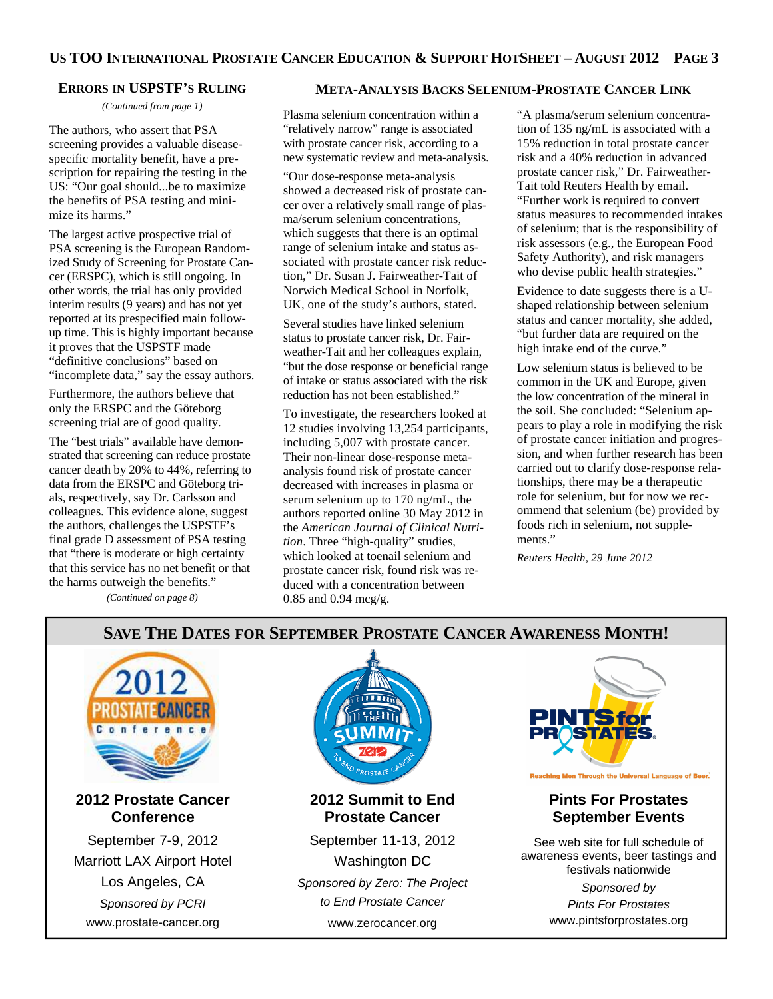### **ERRORS IN USPSTF'S RULING**

*(Continued from page 1)* 

The authors, who assert that PSA screening provides a valuable diseasespecific mortality benefit, have a prescription for repairing the testing in the US: "Our goal should...be to maximize the benefits of PSA testing and minimize its harms."

The largest active prospective trial of PSA screening is the European Randomized Study of Screening for Prostate Cancer (ERSPC), which is still ongoing. In other words, the trial has only provided interim results (9 years) and has not yet reported at its prespecified main followup time. This is highly important because it proves that the USPSTF made "definitive conclusions" based on "incomplete data," say the essay authors.

Furthermore, the authors believe that only the ERSPC and the Göteborg screening trial are of good quality.

The "best trials" available have demonstrated that screening can reduce prostate cancer death by 20% to 44%, referring to data from the ERSPC and Göteborg trials, respectively, say Dr. Carlsson and colleagues. This evidence alone, suggest the authors, challenges the USPSTF's final grade D assessment of PSA testing that "there is moderate or high certainty that this service has no net benefit or that the harms outweigh the benefits."

*(Continued on page 8)* 

# **META-ANALYSIS BACKS SELENIUM-PROSTATE CANCER LINK**

Plasma selenium concentration within a "relatively narrow" range is associated with prostate cancer risk, according to a new systematic review and meta-analysis.

"Our dose-response meta-analysis showed a decreased risk of prostate cancer over a relatively small range of plasma/serum selenium concentrations, which suggests that there is an optimal range of selenium intake and status associated with prostate cancer risk reduction," Dr. Susan J. Fairweather-Tait of Norwich Medical School in Norfolk, UK, one of the study's authors, stated.

Several studies have linked selenium status to prostate cancer risk, Dr. Fairweather-Tait and her colleagues explain, "but the dose response or beneficial range of intake or status associated with the risk reduction has not been established."

To investigate, the researchers looked at 12 studies involving 13,254 participants, including 5,007 with prostate cancer. Their non-linear dose-response metaanalysis found risk of prostate cancer decreased with increases in plasma or serum selenium up to 170 ng/mL, the authors reported online 30 May 2012 in the *American Journal of Clinical Nutrition*. Three "high-quality" studies, which looked at toenail selenium and prostate cancer risk, found risk was reduced with a concentration between 0.85 and 0.94 mcg/g.

"A plasma/serum selenium concentration of 135 ng/mL is associated with a 15% reduction in total prostate cancer risk and a 40% reduction in advanced prostate cancer risk," Dr. Fairweather-Tait told Reuters Health by email. "Further work is required to convert status measures to recommended intakes of selenium; that is the responsibility of risk assessors (e.g., the European Food Safety Authority), and risk managers who devise public health strategies."

Evidence to date suggests there is a Ushaped relationship between selenium status and cancer mortality, she added, "but further data are required on the high intake end of the curve."

Low selenium status is believed to be common in the UK and Europe, given the low concentration of the mineral in the soil. She concluded: "Selenium appears to play a role in modifying the risk of prostate cancer initiation and progression, and when further research has been carried out to clarify dose-response relationships, there may be a therapeutic role for selenium, but for now we recommend that selenium (be) provided by foods rich in selenium, not supplements."

*Reuters Health, 29 June 2012* 

# **SAVE THE DATES FOR SEPTEMBER PROSTATE CANCER AWARENESS MONTH!**





**2012 Summit to End Prostate Cancer** 

September 11-13, 2012 Washington DC Sponsored by Zero: The Project to End Prostate Cancer www.zerocancer.org



See web site for full schedule of awareness events, beer tastings and festivals nationwide

> Sponsored by Pints For Prostates www.pintsforprostates.org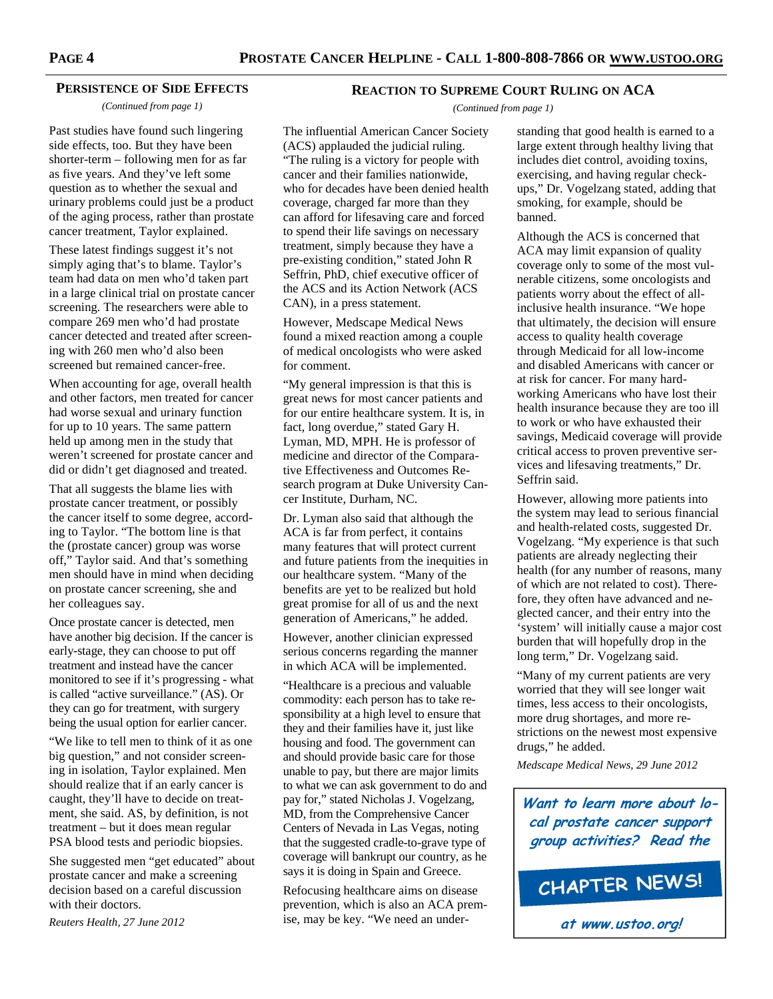#### **PERSISTENCE OF SIDE EFFECTS**

*(Continued from page 1)* 

Past studies have found such lingering side effects, too. But they have been shorter-term – following men for as far as five years. And they've left some question as to whether the sexual and urinary problems could just be a product of the aging process, rather than prostate cancer treatment, Taylor explained.

These latest findings suggest it's not simply aging that's to blame. Taylor's team had data on men who'd taken part in a large clinical trial on prostate cancer screening. The researchers were able to compare 269 men who'd had prostate cancer detected and treated after screening with 260 men who'd also been screened but remained cancer-free.

When accounting for age, overall health and other factors, men treated for cancer had worse sexual and urinary function for up to 10 years. The same pattern held up among men in the study that weren't screened for prostate cancer and did or didn't get diagnosed and treated.

That all suggests the blame lies with prostate cancer treatment, or possibly the cancer itself to some degree, according to Taylor. "The bottom line is that the (prostate cancer) group was worse off," Taylor said. And that's something men should have in mind when deciding on prostate cancer screening, she and her colleagues say.

Once prostate cancer is detected, men have another big decision. If the cancer is early-stage, they can choose to put off treatment and instead have the cancer monitored to see if it's progressing - what is called "active surveillance." (AS). Or they can go for treatment, with surgery being the usual option for earlier cancer.

"We like to tell men to think of it as one big question," and not consider screening in isolation, Taylor explained. Men should realize that if an early cancer is caught, they'll have to decide on treatment, she said. AS, by definition, is not treatment – but it does mean regular PSA blood tests and periodic biopsies.

She suggested men "get educated" about prostate cancer and make a screening decision based on a careful discussion with their doctors.

*Reuters Health, 27 June 2012* 

## **REACTION TO SUPREME COURT RULING ON ACA**

*(Continued from page 1)* 

The influential American Cancer Society (ACS) applauded the judicial ruling. "The ruling is a victory for people with cancer and their families nationwide, who for decades have been denied health coverage, charged far more than they can afford for lifesaving care and forced to spend their life savings on necessary treatment, simply because they have a pre-existing condition," stated John R Seffrin, PhD, chief executive officer of the ACS and its Action Network (ACS CAN), in a press statement.

However, Medscape Medical News found a mixed reaction among a couple of medical oncologists who were asked for comment.

"My general impression is that this is great news for most cancer patients and for our entire healthcare system. It is, in fact, long overdue," stated Gary H. Lyman, MD, MPH. He is professor of medicine and director of the Comparative Effectiveness and Outcomes Research program at Duke University Cancer Institute, Durham, NC.

Dr. Lyman also said that although the ACA is far from perfect, it contains many features that will protect current and future patients from the inequities in our healthcare system. "Many of the benefits are yet to be realized but hold great promise for all of us and the next generation of Americans," he added.

However, another clinician expressed serious concerns regarding the manner in which ACA will be implemented.

"Healthcare is a precious and valuable commodity: each person has to take responsibility at a high level to ensure that they and their families have it, just like housing and food. The government can and should provide basic care for those unable to pay, but there are major limits to what we can ask government to do and pay for," stated Nicholas J. Vogelzang, MD, from the Comprehensive Cancer Centers of Nevada in Las Vegas, noting that the suggested cradle-to-grave type of coverage will bankrupt our country, as he says it is doing in Spain and Greece.

Refocusing healthcare aims on disease prevention, which is also an ACA premise, may be key. "We need an under-

standing that good health is earned to a large extent through healthy living that includes diet control, avoiding toxins, exercising, and having regular checkups," Dr. Vogelzang stated, adding that smoking, for example, should be banned.

Although the ACS is concerned that ACA may limit expansion of quality coverage only to some of the most vulnerable citizens, some oncologists and patients worry about the effect of allinclusive health insurance. "We hope that ultimately, the decision will ensure access to quality health coverage through Medicaid for all low-income and disabled Americans with cancer or at risk for cancer. For many hardworking Americans who have lost their health insurance because they are too ill to work or who have exhausted their savings, Medicaid coverage will provide critical access to proven preventive services and lifesaving treatments," Dr. Seffrin said.

However, allowing more patients into the system may lead to serious financial and health-related costs, suggested Dr. Vogelzang. "My experience is that such patients are already neglecting their health (for any number of reasons, many of which are not related to cost). Therefore, they often have advanced and neglected cancer, and their entry into the 'system' will initially cause a major cost burden that will hopefully drop in the long term," Dr. Vogelzang said.

"Many of my current patients are very worried that they will see longer wait times, less access to their oncologists, more drug shortages, and more restrictions on the newest most expensive drugs," he added.

*Medscape Medical News, 29 June 2012* 

**Want to learn more about local prostate cancer support group activities? Read the**

CHAPTER NEWS!

**at www.ustoo.org!**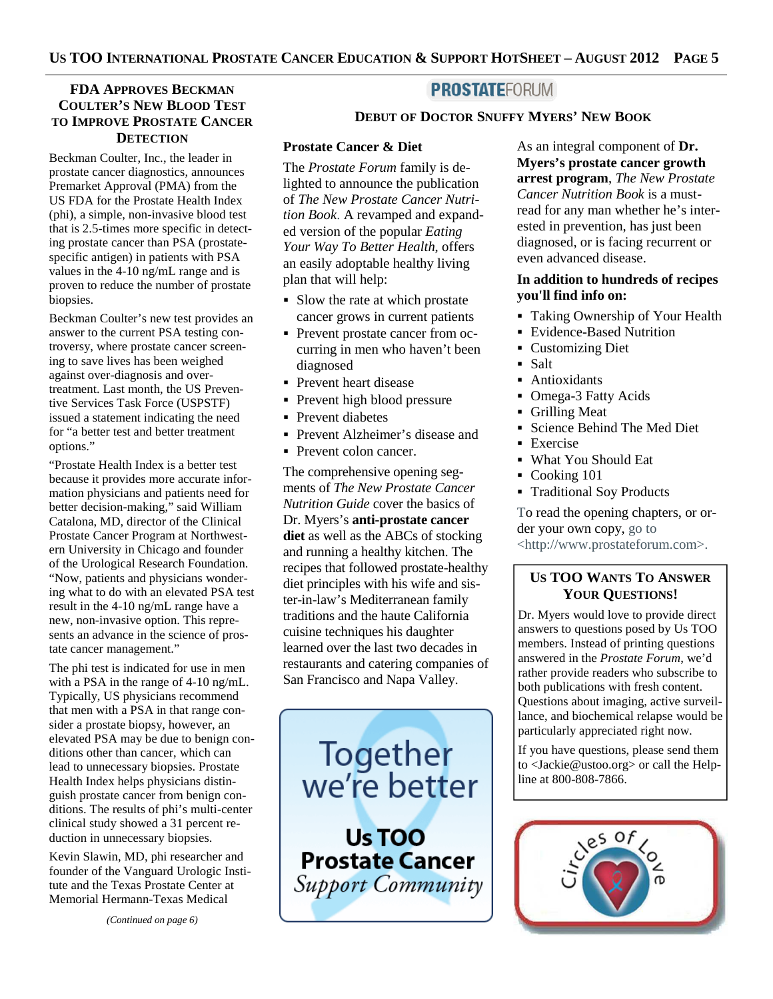# **FDA APPROVES BECKMAN COULTER'S NEW BLOOD TEST TO IMPROVE PROSTATE CANCER DETECTION**

Beckman Coulter, Inc., the leader in prostate cancer diagnostics, announces Premarket Approval (PMA) from the US FDA for the Prostate Health Index (phi), a simple, non-invasive blood test that is 2.5-times more specific in detecting prostate cancer than PSA (prostatespecific antigen) in patients with PSA values in the 4-10 ng/mL range and is proven to reduce the number of prostate biopsies.

Beckman Coulter's new test provides an answer to the current PSA testing controversy, where prostate cancer screening to save lives has been weighed against over-diagnosis and overtreatment. Last month, the US Preventive Services Task Force (USPSTF) issued a statement indicating the need for "a better test and better treatment options."

"Prostate Health Index is a better test because it provides more accurate information physicians and patients need for better decision-making," said William Catalona, MD, director of the Clinical Prostate Cancer Program at Northwestern University in Chicago and founder of the Urological Research Foundation. "Now, patients and physicians wondering what to do with an elevated PSA test result in the 4-10 ng/mL range have a new, non-invasive option. This represents an advance in the science of prostate cancer management."

The phi test is indicated for use in men with a PSA in the range of 4-10 ng/mL. Typically, US physicians recommend that men with a PSA in that range consider a prostate biopsy, however, an elevated PSA may be due to benign conditions other than cancer, which can lead to unnecessary biopsies. Prostate Health Index helps physicians distinguish prostate cancer from benign conditions. The results of phi's multi-center clinical study showed a 31 percent reduction in unnecessary biopsies.

Kevin Slawin, MD, phi researcher and founder of the Vanguard Urologic Institute and the Texas Prostate Center at Memorial Hermann-Texas Medical

*(Continued on page 6)* 

# **PROSTATEFORUM**

### **DEBUT OF DOCTOR SNUFFY MYERS' NEW BOOK**

#### **Prostate Cancer & Diet**

The *Prostate Forum* family is delighted to announce the publication of *The New Prostate Cancer Nutrition Book*. A revamped and expanded version of the popular *Eating Your Way To Better Health*, offers an easily adoptable healthy living plan that will help:

- Slow the rate at which prostate cancer grows in current patients
- Prevent prostate cancer from occurring in men who haven't been diagnosed
- Prevent heart disease
- Prevent high blood pressure
- Prevent diabetes
- Prevent Alzheimer's disease and
- Prevent colon cancer.

The comprehensive opening segments of *The New Prostate Cancer Nutrition Guide* cover the basics of Dr. Myers's **anti-prostate cancer diet** as well as the ABCs of stocking and running a healthy kitchen. The recipes that followed prostate-healthy diet principles with his wife and sister-in-law's Mediterranean family traditions and the haute California cuisine techniques his daughter learned over the last two decades in restaurants and catering companies of San Francisco and Napa Valley.

Together we're better

Us TOO **Prostate Cancer** Support Community

As an integral component of **Dr. Myers's prostate cancer growth arrest program**, *The New Prostate Cancer Nutrition Book* is a mustread for any man whether he's interested in prevention, has just been diagnosed, or is facing recurrent or even advanced disease.

## **In addition to hundreds of recipes you'll find info on:**

- Taking Ownership of Your Health
- Evidence-Based Nutrition
- **Customizing Diet**
- Salt
- **Antioxidants**
- Omega-3 Fatty Acids
- Grilling Meat
- Science Behind The Med Diet
- **Exercise**
- What You Should Eat
- Cooking 101
- **Traditional Soy Products**

To read the opening chapters, or order your own copy, go to <http://www.prostateforum.com>.

# **US TOO WANTS TO ANSWER YOUR QUESTIONS!**

Dr. Myers would love to provide direct answers to questions posed by Us TOO members. Instead of printing questions answered in the *Prostate Forum*, we'd rather provide readers who subscribe to both publications with fresh content. Questions about imaging, active surveillance, and biochemical relapse would be particularly appreciated right now.

If you have questions, please send them to <Jackie@ustoo.org> or call the Helpline at 800-808-7866.

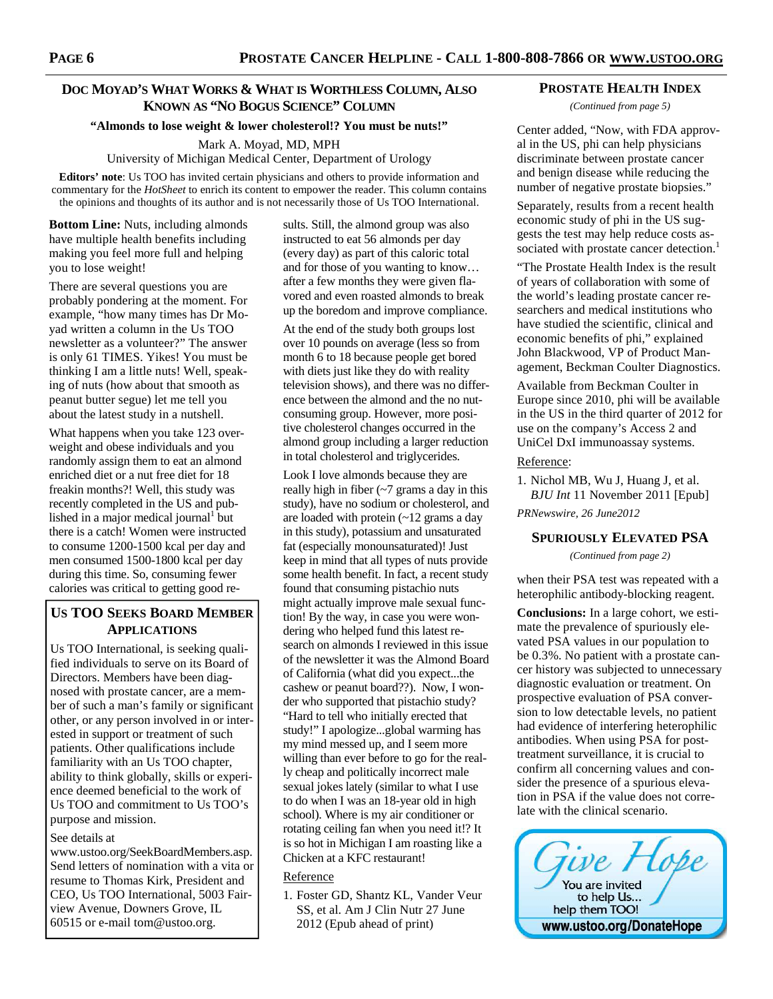# **DOC MOYAD'S WHAT WORKS & WHAT IS WORTHLESS COLUMN, ALSO KNOWN AS "NO BOGUS SCIENCE" COLUMN**

# **"Almonds to lose weight & lower cholesterol!? You must be nuts!"**

Mark A. Moyad, MD, MPH

University of Michigan Medical Center, Department of Urology

**Editors' note**: Us TOO has invited certain physicians and others to provide information and commentary for the *HotSheet* to enrich its content to empower the reader. This column contains the opinions and thoughts of its author and is not necessarily those of Us TOO International.

**Bottom Line:** Nuts, including almonds have multiple health benefits including making you feel more full and helping you to lose weight!

There are several questions you are probably pondering at the moment. For example, "how many times has Dr Moyad written a column in the Us TOO newsletter as a volunteer?" The answer is only 61 TIMES. Yikes! You must be thinking I am a little nuts! Well, speaking of nuts (how about that smooth as peanut butter segue) let me tell you about the latest study in a nutshell.

What happens when you take 123 overweight and obese individuals and you randomly assign them to eat an almond enriched diet or a nut free diet for 18 freakin months?! Well, this study was recently completed in the US and published in a major medical journal<sup>1</sup> but there is a catch! Women were instructed to consume 1200-1500 kcal per day and men consumed 1500-1800 kcal per day during this time. So, consuming fewer calories was critical to getting good re-

# **US TOO SEEKS BOARD MEMBER APPLICATIONS**

Us TOO International, is seeking qualified individuals to serve on its Board of Directors. Members have been diagnosed with prostate cancer, are a member of such a man's family or significant other, or any person involved in or interested in support or treatment of such patients. Other qualifications include familiarity with an Us TOO chapter, ability to think globally, skills or experience deemed beneficial to the work of Us TOO and commitment to Us TOO's purpose and mission.

#### See details at

www.ustoo.org/SeekBoardMembers.asp. Send letters of nomination with a vita or resume to Thomas Kirk, President and CEO, Us TOO International, 5003 Fairview Avenue, Downers Grove, IL 60515 or e-mail tom@ustoo.org.

sults. Still, the almond group was also instructed to eat 56 almonds per day (every day) as part of this caloric total and for those of you wanting to know… after a few months they were given flavored and even roasted almonds to break up the boredom and improve compliance.

At the end of the study both groups lost over 10 pounds on average (less so from month 6 to 18 because people get bored with diets just like they do with reality television shows), and there was no difference between the almond and the no nutconsuming group. However, more positive cholesterol changes occurred in the almond group including a larger reduction in total cholesterol and triglycerides.

Look I love almonds because they are really high in fiber  $\left(\frac{1}{2}\right)$  grams a day in this study), have no sodium or cholesterol, and are loaded with protein (~12 grams a day in this study), potassium and unsaturated fat (especially monounsaturated)! Just keep in mind that all types of nuts provide some health benefit. In fact, a recent study found that consuming pistachio nuts might actually improve male sexual function! By the way, in case you were wondering who helped fund this latest research on almonds I reviewed in this issue of the newsletter it was the Almond Board of California (what did you expect...the cashew or peanut board??). Now, I wonder who supported that pistachio study? "Hard to tell who initially erected that study!" I apologize...global warming has my mind messed up, and I seem more willing than ever before to go for the really cheap and politically incorrect male sexual jokes lately (similar to what I use to do when I was an 18-year old in high school). Where is my air conditioner or rotating ceiling fan when you need it!? It is so hot in Michigan I am roasting like a Chicken at a KFC restaurant!

#### Reference

1. Foster GD, Shantz KL, Vander Veur SS, et al. Am J Clin Nutr 27 June 2012 (Epub ahead of print)

#### **PROSTATE HEALTH INDEX**

*(Continued from page 5)* 

Center added, "Now, with FDA approval in the US, phi can help physicians discriminate between prostate cancer and benign disease while reducing the number of negative prostate biopsies."

Separately, results from a recent health economic study of phi in the US suggests the test may help reduce costs associated with prostate cancer detection.<sup>1</sup>

"The Prostate Health Index is the result of years of collaboration with some of the world's leading prostate cancer researchers and medical institutions who have studied the scientific, clinical and economic benefits of phi," explained John Blackwood, VP of Product Management, Beckman Coulter Diagnostics.

Available from Beckman Coulter in Europe since 2010, phi will be available in the US in the third quarter of 2012 for use on the company's Access 2 and UniCel DxI immunoassay systems.

#### Reference:

1. Nichol MB, Wu J, Huang J, et al. *BJU Int* 11 November 2011 [Epub]

*PRNewswire, 26 June2012* 

#### **SPURIOUSLY ELEVATED PSA**

*(Continued from page 2)* 

when their PSA test was repeated with a heterophilic antibody-blocking reagent.

**Conclusions:** In a large cohort, we estimate the prevalence of spuriously elevated PSA values in our population to be 0.3%. No patient with a prostate cancer history was subjected to unnecessary diagnostic evaluation or treatment. On prospective evaluation of PSA conversion to low detectable levels, no patient had evidence of interfering heterophilic antibodies. When using PSA for posttreatment surveillance, it is crucial to confirm all concerning values and consider the presence of a spurious elevation in PSA if the value does not correlate with the clinical scenario.

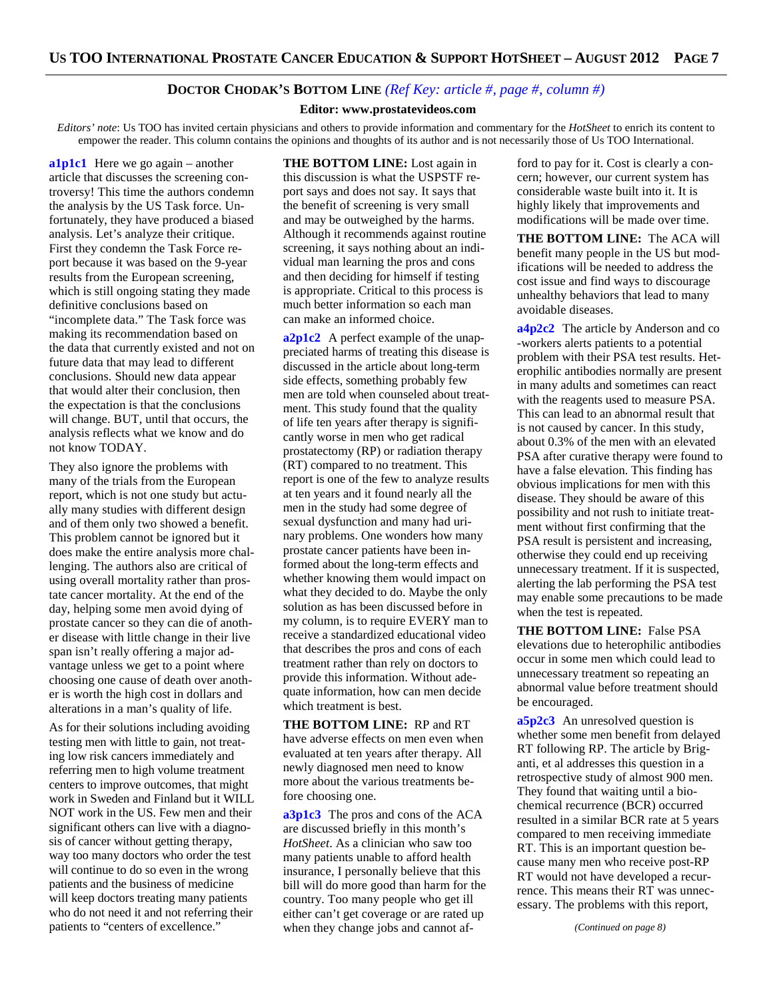## **DOCTOR CHODAK'S BOTTOM LINE** *(Ref Key: article #, page #, column #)*

#### **Editor: www.prostatevideos.com**

*Editors' note*: Us TOO has invited certain physicians and others to provide information and commentary for the *HotSheet* to enrich its content to empower the reader. This column contains the opinions and thoughts of its author and is not necessarily those of Us TOO International.

**a1p1c1** Here we go again – another article that discusses the screening controversy! This time the authors condemn the analysis by the US Task force. Unfortunately, they have produced a biased analysis. Let's analyze their critique. First they condemn the Task Force report because it was based on the 9-year results from the European screening, which is still ongoing stating they made definitive conclusions based on "incomplete data." The Task force was making its recommendation based on the data that currently existed and not on future data that may lead to different conclusions. Should new data appear that would alter their conclusion, then the expectation is that the conclusions will change. BUT, until that occurs, the analysis reflects what we know and do not know TODAY.

They also ignore the problems with many of the trials from the European report, which is not one study but actually many studies with different design and of them only two showed a benefit. This problem cannot be ignored but it does make the entire analysis more challenging. The authors also are critical of using overall mortality rather than prostate cancer mortality. At the end of the day, helping some men avoid dying of prostate cancer so they can die of another disease with little change in their live span isn't really offering a major advantage unless we get to a point where choosing one cause of death over another is worth the high cost in dollars and alterations in a man's quality of life.

As for their solutions including avoiding testing men with little to gain, not treating low risk cancers immediately and referring men to high volume treatment centers to improve outcomes, that might work in Sweden and Finland but it WILL NOT work in the US. Few men and their significant others can live with a diagnosis of cancer without getting therapy, way too many doctors who order the test will continue to do so even in the wrong patients and the business of medicine will keep doctors treating many patients who do not need it and not referring their patients to "centers of excellence."

**THE BOTTOM LINE:** Lost again in this discussion is what the USPSTF report says and does not say. It says that the benefit of screening is very small and may be outweighed by the harms. Although it recommends against routine screening, it says nothing about an individual man learning the pros and cons and then deciding for himself if testing is appropriate. Critical to this process is much better information so each man can make an informed choice.

**a2p1c2** A perfect example of the unappreciated harms of treating this disease is discussed in the article about long-term side effects, something probably few men are told when counseled about treatment. This study found that the quality of life ten years after therapy is significantly worse in men who get radical prostatectomy (RP) or radiation therapy (RT) compared to no treatment. This report is one of the few to analyze results at ten years and it found nearly all the men in the study had some degree of sexual dysfunction and many had urinary problems. One wonders how many prostate cancer patients have been informed about the long-term effects and whether knowing them would impact on what they decided to do. Maybe the only solution as has been discussed before in my column, is to require EVERY man to receive a standardized educational video that describes the pros and cons of each treatment rather than rely on doctors to provide this information. Without adequate information, how can men decide which treatment is best.

**THE BOTTOM LINE:** RP and RT have adverse effects on men even when evaluated at ten years after therapy. All newly diagnosed men need to know more about the various treatments before choosing one.

**a3p1c3** The pros and cons of the ACA are discussed briefly in this month's *HotSheet*. As a clinician who saw too many patients unable to afford health insurance, I personally believe that this bill will do more good than harm for the country. Too many people who get ill either can't get coverage or are rated up when they change jobs and cannot af-

ford to pay for it. Cost is clearly a concern; however, our current system has considerable waste built into it. It is highly likely that improvements and modifications will be made over time.

**THE BOTTOM LINE:** The ACA will benefit many people in the US but modifications will be needed to address the cost issue and find ways to discourage unhealthy behaviors that lead to many avoidable diseases.

**a4p2c2** The article by Anderson and co -workers alerts patients to a potential problem with their PSA test results. Heterophilic antibodies normally are present in many adults and sometimes can react with the reagents used to measure PSA. This can lead to an abnormal result that is not caused by cancer. In this study, about 0.3% of the men with an elevated PSA after curative therapy were found to have a false elevation. This finding has obvious implications for men with this disease. They should be aware of this possibility and not rush to initiate treatment without first confirming that the PSA result is persistent and increasing, otherwise they could end up receiving unnecessary treatment. If it is suspected, alerting the lab performing the PSA test may enable some precautions to be made when the test is repeated.

**THE BOTTOM LINE:** False PSA elevations due to heterophilic antibodies occur in some men which could lead to unnecessary treatment so repeating an abnormal value before treatment should be encouraged.

**a5p2c3** An unresolved question is whether some men benefit from delayed RT following RP. The article by Briganti, et al addresses this question in a retrospective study of almost 900 men. They found that waiting until a biochemical recurrence (BCR) occurred resulted in a similar BCR rate at 5 years compared to men receiving immediate RT. This is an important question because many men who receive post-RP RT would not have developed a recurrence. This means their RT was unnecessary. The problems with this report,

*(Continued on page 8)*